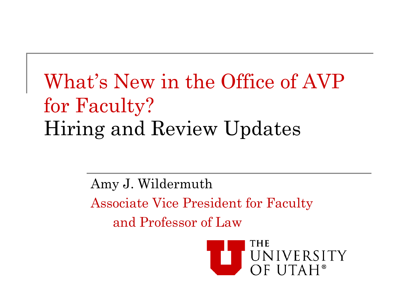### What's New in the Office of AVP for Faculty? Hiring and Review Updates

Amy J. Wildermuth Associate Vice President for Faculty and Professor of Law

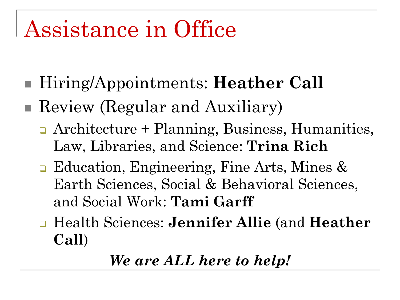# Assistance in Office

- Hiring/Appointments: **Heather Call**
- Review (Regular and Auxiliary)
	- Architecture + Planning, Business, Humanities, Law, Libraries, and Science: **Trina Rich**
	- **□** Education, Engineering, Fine Arts, Mines & Earth Sciences, Social & Behavioral Sciences, and Social Work: **Tami Garff**
	- Health Sciences: **Jennifer Allie** (and **Heather Call**)

#### *We are ALL here to help!*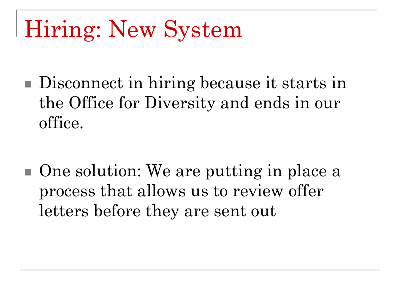# Hiring: New System

Disconnect in hiring because it starts in the Office for Diversity and ends in our office.

■ One solution: We are putting in place a process that allows us to review offer letters before they are sent out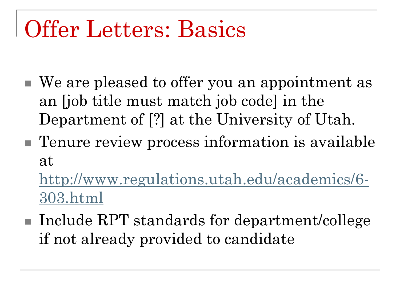# Offer Letters: Basics

- We are pleased to offer you an appointment as an [job title must match job code] in the Department of [?] at the University of Utah.
- Tenure review process information is available at

[http://www.regulations.utah.edu/academics/6-](http://www.regulations.utah.edu/academics/6-303.html) [303.html](http://www.regulations.utah.edu/academics/6-303.html)

■ Include RPT standards for department/college if not already provided to candidate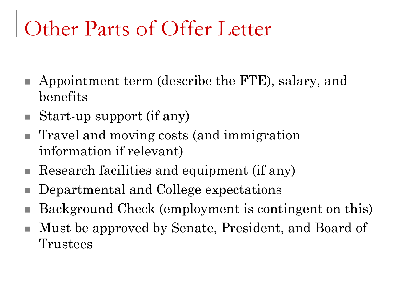### Other Parts of Offer Letter

- Appointment term (describe the FTE), salary, and benefits
- $\blacksquare$  Start-up support (if any)
- Travel and moving costs (and immigration information if relevant)
- Research facilities and equipment (if any)
- Departmental and College expectations
- Background Check (employment is contingent on this)
- Must be approved by Senate, President, and Board of Trustees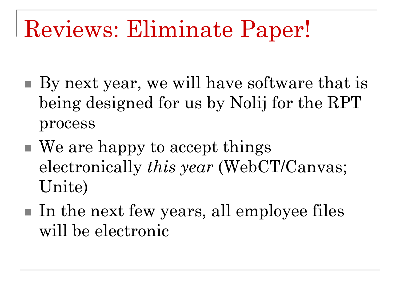# Reviews: Eliminate Paper!

- By next year, we will have software that is being designed for us by Nolij for the RPT process
- We are happy to accept things electronically *this year* (WebCT/Canvas; Unite)
- $\blacksquare$  In the next few years, all employee files will be electronic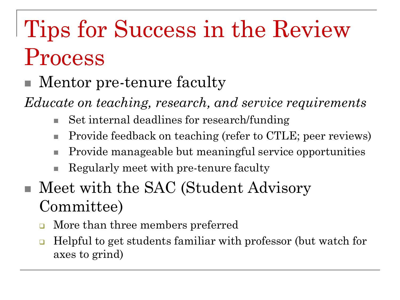# Tips for Success in the Review Process

#### Mentor pre-tenure faculty

*Educate on teaching, research, and service requirements*

- Set internal deadlines for research/funding
- Provide feedback on teaching (refer to CTLE; peer reviews)
- Provide manageable but meaningful service opportunities
- Regularly meet with pre-tenure faculty
- Meet with the SAC (Student Advisory Committee)
	- More than three members preferred
	- Helpful to get students familiar with professor (but watch for axes to grind)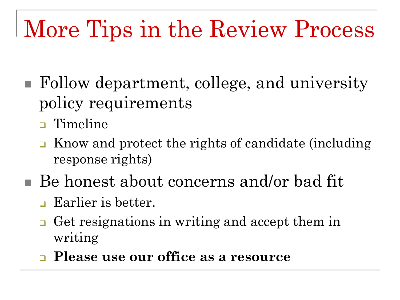# More Tips in the Review Process

- Follow department, college, and university policy requirements
	- Timeline
	- **Know and protect the rights of candidate (including** response rights)
- Be honest about concerns and/or bad fit
	- **Earlier** is better.
	- Get resignations in writing and accept them in writing
	- **Please use our office as a resource**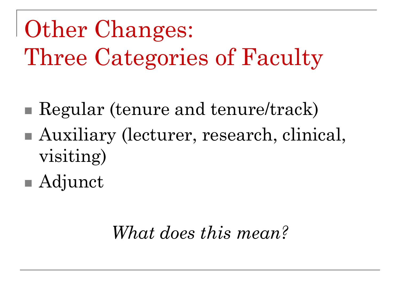Other Changes: Three Categories of Faculty

- Regular (tenure and tenure/track)
- Auxiliary (lecturer, research, clinical, visiting)
- Adjunct

### *What does this mean?*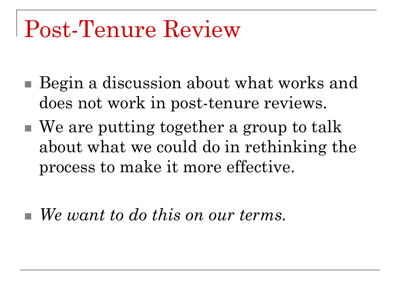## Post-Tenure Review

- Begin a discussion about what works and does not work in post-tenure reviews.
- We are putting together a group to talk about what we could do in rethinking the process to make it more effective.
- *We want to do this on our terms.*